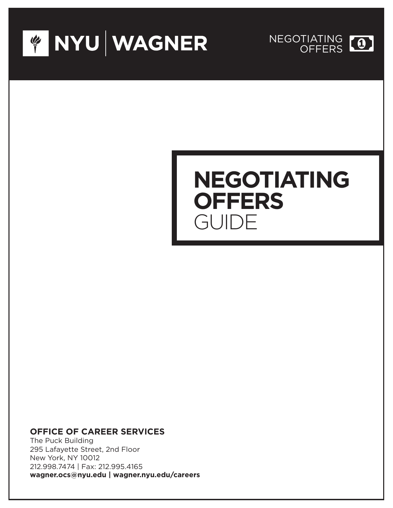



# **NEGOTIATING OFFERS** GUIDE

### **OFFICE OF CAREER SERVICES**

The Puck Building 295 Lafayette Street, 2nd Floor New York, NY 10012 212.998.7474 | Fax: 212.995.4165 **wagner.ocs@nyu.edu | wagner.nyu.edu/careers**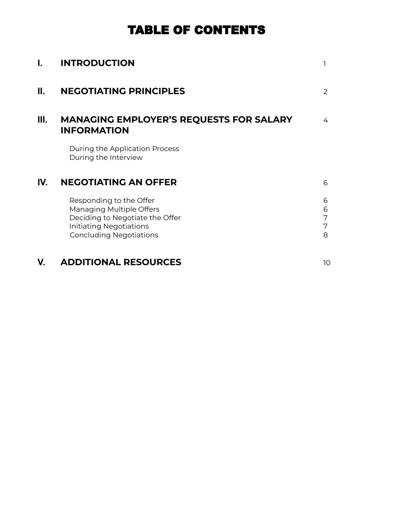# TABLE OF CONTENTS

| I.  | <b>INTRODUCTION</b>                                                                                                                                        |                       |
|-----|------------------------------------------------------------------------------------------------------------------------------------------------------------|-----------------------|
| Н.  | <b>NEGOTIATING PRINCIPLES</b>                                                                                                                              | $\mathcal{P}$         |
| Ш.  | <b>MANAGING EMPLOYER'S REQUESTS FOR SALARY</b><br><b>INFORMATION</b>                                                                                       | 4                     |
|     | During the Application Process<br>During the Interview                                                                                                     |                       |
| IV. | <b>NEGOTIATING AN OFFER</b>                                                                                                                                | 6                     |
|     | Responding to the Offer<br>Managing Multiple Offers<br>Deciding to Negotiate the Offer<br><b>Initiating Negotiations</b><br><b>Concluding Negotiations</b> | 6<br>6<br>7<br>7<br>8 |
| V.  | <b>ADDITIONAL RESOURCES</b>                                                                                                                                | 10                    |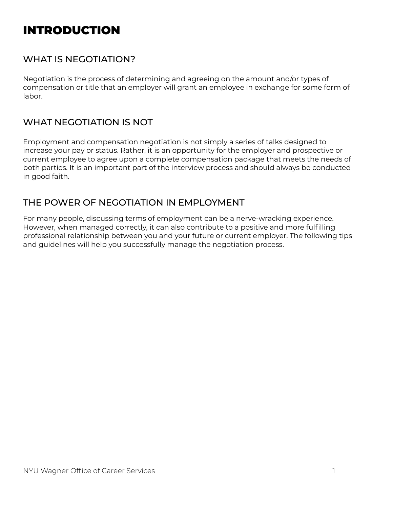# INTRODUCTION

# WHAT IS NEGOTIATION?

Negotiation is the process of determining and agreeing on the amount and/or types of compensation or title that an employer will grant an employee in exchange for some form of labor.

# WHAT NEGOTIATION IS NOT

Employment and compensation negotiation is not simply a series of talks designed to increase your pay or status. Rather, it is an opportunity for the employer and prospective or current employee to agree upon a complete compensation package that meets the needs of both parties. It is an important part of the interview process and should always be conducted in good faith.

# THE POWER OF NEGOTIATION IN EMPLOYMENT

For many people, discussing terms of employment can be a nerve-wracking experience. However, when managed correctly, it can also contribute to a positive and more fulfilling professional relationship between you and your future or current employer. The following tips and guidelines will help you successfully manage the negotiation process.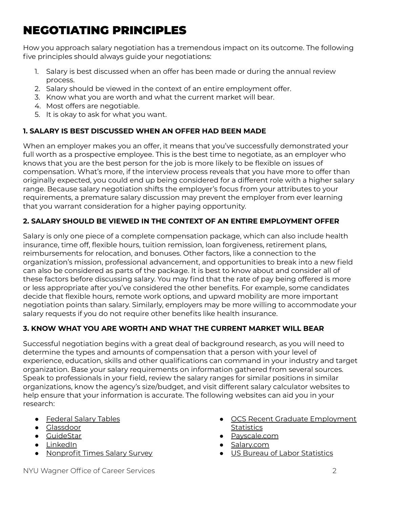# NEGOTIATING PRINCIPLES

How you approach salary negotiation has a tremendous impact on its outcome. The following five principles should always guide your negotiations:

- 1. Salary is best discussed when an offer has been made or during the annual review process.
- 2. Salary should be viewed in the context of an entire employment offer.
- 3. Know what you are worth and what the current market will bear.
- 4. Most offers are negotiable.
- 5. It is okay to ask for what you want.

### **1. SALARY IS BEST DISCUSSED WHEN AN OFFER HAD BEEN MADE**

When an employer makes you an offer, it means that you've successfully demonstrated your full worth as a prospective employee. This is the best time to negotiate, as an employer who knows that you are the best person for the job is more likely to be flexible on issues of compensation. What's more, if the interview process reveals that you have more to offer than originally expected, you could end up being considered for a different role with a higher salary range. Because salary negotiation shifts the employer's focus from your attributes to your requirements, a premature salary discussion may prevent the employer from ever learning that you warrant consideration for a higher paying opportunity.

### **2. SALARY SHOULD BE VIEWED IN THE CONTEXT OF AN ENTIRE EMPLOYMENT OFFER**

Salary is only one piece of a complete compensation package, which can also include health insurance, time off, flexible hours, tuition remission, loan forgiveness, retirement plans, reimbursements for relocation, and bonuses. Other factors, like a connection to the organization's mission, professional advancement, and opportunities to break into a new field can also be considered as parts of the package. It is best to know about and consider all of these factors before discussing salary. You may find that the rate of pay being offered is more or less appropriate after you've considered the other benefits. For example, some candidates decide that flexible hours, remote work options, and upward mobility are more important negotiation points than salary. Similarly, employers may be more willing to accommodate your salary requests if you do not require other benefits like health insurance.

### **3. KNOW WHAT YOU ARE WORTH AND WHAT THE CURRENT MARKET WILL BEAR**

Successful negotiation begins with a great deal of background research, as you will need to determine the types and amounts of compensation that a person with your level of experience, education, skills and other qualifications can command in your industry and target organization. Base your salary requirements on information gathered from several sources. Speak to professionals in your field, review the salary ranges for similar positions in similar organizations, know the agency's size/budget, and visit different salary calculator websites to help ensure that your information is accurate. The following websites can aid you in your research:

- [Federal](https://www.opm.gov/policy-data-oversight/pay-leave/salaries-wages/) Salary Tables
- [Glassdoor](https://www.glassdoor.com/index.htm)
- [GuideStar](http://www.guidestar.org/Home.aspx)
- [LinkedIn](https://www.linkedin.com/salary/)
- [Nonprofit](http://www.nptimes.com/) Times Salary Survey
- OCS Recent Graduate [Employment](http://wagner.nyu.edu/careers/employment-statistics) **[Statistics](http://wagner.nyu.edu/careers/employment-statistics)**
- [Payscale.com](http://www.payscale.com)
- [Salary.com](http://www.salary.com)
- US Bureau of Labor [Statistics](https://www.bls.gov/ooh/)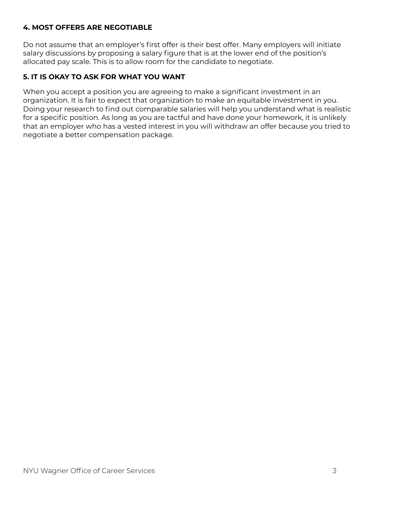#### **4. MOST OFFERS ARE NEGOTIABLE**

Do not assume that an employer's first offer is their best offer. Many employers will initiate salary discussions by proposing a salary figure that is at the lower end of the position's allocated pay scale. This is to allow room for the candidate to negotiate.

#### **5. IT IS OKAY TO ASK FOR WHAT YOU WANT**

When you accept a position you are agreeing to make a significant investment in an organization. It is fair to expect that organization to make an equitable investment in you. Doing your research to find out comparable salaries will help you understand what is realistic for a specific position. As long as you are tactful and have done your homework, it is unlikely that an employer who has a vested interest in you will withdraw an offer because you tried to negotiate a better compensation package.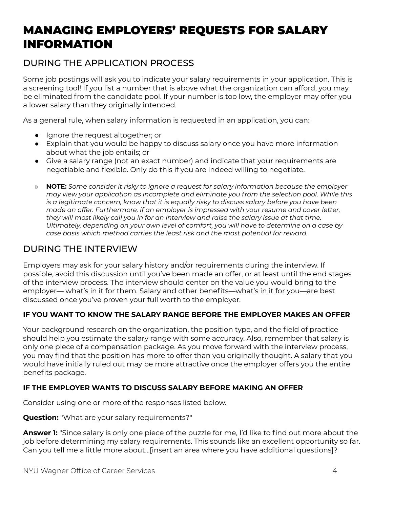# MANAGING EMPLOYERS' REQUESTS FOR SALARY INFORMATION

# DURING THE APPLICATION PROCESS

Some job postings will ask you to indicate your salary requirements in your application. This is a screening tool! If you list a number that is above what the organization can afford, you may be eliminated from the candidate pool. If your number is too low, the employer may offer you a lower salary than they originally intended.

As a general rule, when salary information is requested in an application, you can:

- Ignore the request altogether; or
- Explain that you would be happy to discuss salary once you have more information about what the job entails; or
- Give a salary range (not an exact number) and indicate that your requirements are negotiable and flexible. Only do this if you are indeed willing to negotiate.
- » **NOTE:** *Some consider it risky to ignore a request for salary information because the employer may view your application as incomplete and eliminate you from the selection pool. While this is a legitimate concern, know that it is equally risky to discuss salary before you have been made an offer. Furthermore, if an employer is impressed with your resume and cover letter, they will most likely call you in for an interview and raise the salary issue at that time. Ultimately, depending on your own level of comfort, you will have to determine on a case by case basis which method carries the least risk and the most potential for reward.*

### DURING THE INTERVIEW

Employers may ask for your salary history and/or requirements during the interview. If possible, avoid this discussion until you've been made an offer, or at least until the end stages of the interview process. The interview should center on the value you would bring to the employer— what's in it for them. Salary and other benefits—what's in it for you—are best discussed once you've proven your full worth to the employer.

#### **IF YOU WANT TO KNOW THE SALARY RANGE BEFORE THE EMPLOYER MAKES AN OFFER**

Your background research on the organization, the position type, and the field of practice should help you estimate the salary range with some accuracy. Also, remember that salary is only one piece of a compensation package. As you move forward with the interview process, you may find that the position has more to offer than you originally thought. A salary that you would have initially ruled out may be more attractive once the employer offers you the entire benefits package.

#### **IF THE EMPLOYER WANTS TO DISCUSS SALARY BEFORE MAKING AN OFFER**

Consider using one or more of the responses listed below.

**Question:** "What are your salary requirements?"

**Answer 1:** "Since salary is only one piece of the puzzle for me, I'd like to find out more about the job before determining my salary requirements. This sounds like an excellent opportunity so far. Can you tell me a little more about…[insert an area where you have additional questions]?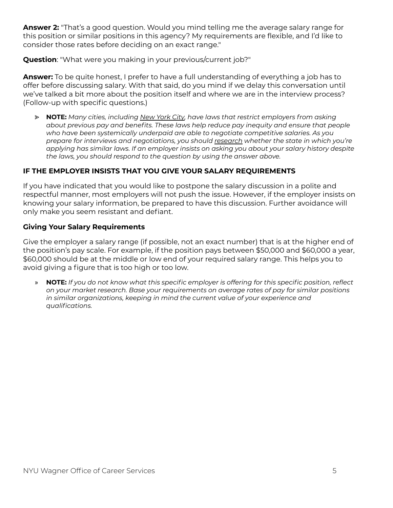**Answer 2:** "That's a good question. Would you mind telling me the average salary range for this position or similar positions in this agency? My requirements are flexible, and I'd like to consider those rates before deciding on an exact range."

**Question**: "What were you making in your previous/current job?"

**Answer:** To be quite honest, I prefer to have a full understanding of everything a job has to offer before discussing salary. With that said, do you mind if we delay this conversation until we've talked a bit more about the position itself and where we are in the interview process? (Follow-up with specific questions.)

⪢ **NOTE:** *Many cities, including [New](https://www1.nyc.gov/site/cchr/media/salary-history.page) York City, have laws that restrict employers from asking about previous pay and benefits. These laws help reduce pay inequity and ensure that people who have been systemically underpaid are able to negotiate competitive salaries. As you prepare for interviews and negotiations, you should [research](https://www.hrdive.com/news/salary-history-ban-states-list/516662/) whether the state in which you're applying has similar laws. If an employer insists on asking you about your salary history despite the laws, you should respond to the question by using the answer above.*

#### **IF THE EMPLOYER INSISTS THAT YOU GIVE YOUR SALARY REQUIREMENTS**

If you have indicated that you would like to postpone the salary discussion in a polite and respectful manner, most employers will not push the issue. However, if the employer insists on knowing your salary information, be prepared to have this discussion. Further avoidance will only make you seem resistant and defiant.

#### **Giving Your Salary Requirements**

Give the employer a salary range (if possible, not an exact number) that is at the higher end of the position's pay scale. For example, if the position pays between \$50,000 and \$60,000 a year, \$60,000 should be at the middle or low end of your required salary range. This helps you to avoid giving a figure that is too high or too low.

» **NOTE:** *If you do not know what this specific employer is offering for this specific position, reflect on your market research. Base your requirements on average rates of pay for similar positions in similar organizations, keeping in mind the current value of your experience and qualifications.*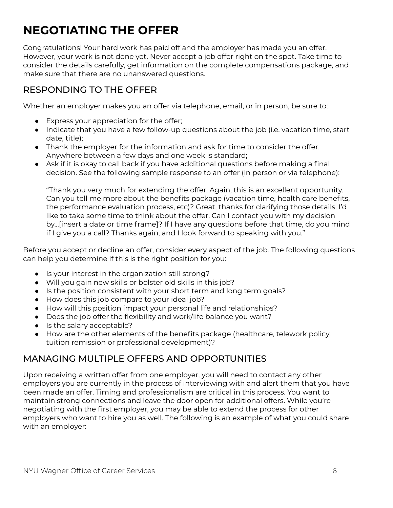# **NEGOTIATING THE OFFER**

Congratulations! Your hard work has paid off and the employer has made you an offer. However, your work is not done yet. Never accept a job offer right on the spot. Take time to consider the details carefully, get information on the complete compensations package, and make sure that there are no unanswered questions.

# RESPONDING TO THE OFFER

Whether an employer makes you an offer via telephone, email, or in person, be sure to:

- Express your appreciation for the offer;
- Indicate that you have a few follow-up questions about the job (i.e. vacation time, start date, title);
- Thank the employer for the information and ask for time to consider the offer. Anywhere between a few days and one week is standard;
- Ask if it is okay to call back if you have additional questions before making a final decision. See the following sample response to an offer (in person or via telephone):

"Thank you very much for extending the offer. Again, this is an excellent opportunity. Can you tell me more about the benefits package (vacation time, health care benefits, the performance evaluation process, etc)? Great, thanks for clarifying those details. I'd like to take some time to think about the offer. Can I contact you with my decision by…[insert a date or time frame]? If I have any questions before that time, do you mind if I give you a call? Thanks again, and I look forward to speaking with you."

Before you accept or decline an offer, consider every aspect of the job. The following questions can help you determine if this is the right position for you:

- Is your interest in the organization still strong?
- Will you gain new skills or bolster old skills in this job?
- Is the position consistent with your short term and long term goals?
- How does this job compare to your ideal job?
- How will this position impact your personal life and relationships?
- Does the job offer the flexibility and work/life balance you want?
- Is the salary acceptable?
- How are the other elements of the benefits package (healthcare, telework policy, tuition remission or professional development)?

# MANAGING MULTIPLE OFFERS AND OPPORTUNITIES

Upon receiving a written offer from one employer, you will need to contact any other employers you are currently in the process of interviewing with and alert them that you have been made an offer. Timing and professionalism are critical in this process. You want to maintain strong connections and leave the door open for additional offers. While you're negotiating with the first employer, you may be able to extend the process for other employers who want to hire you as well. The following is an example of what you could share with an employer: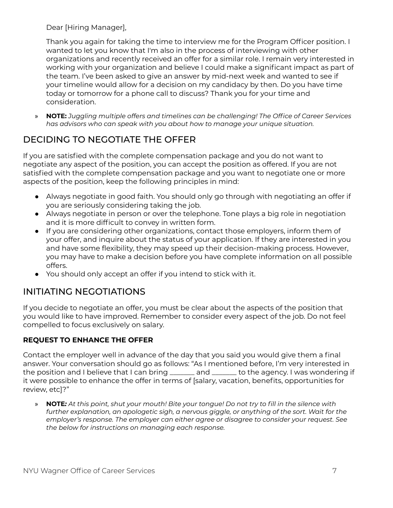Dear [Hiring Manager],

Thank you again for taking the time to interview me for the Program Officer position. I wanted to let you know that I'm also in the process of interviewing with other organizations and recently received an offer for a similar role. I remain very interested in working with your organization and believe I could make a significant impact as part of the team. I've been asked to give an answer by mid-next week and wanted to see if your timeline would allow for a decision on my candidacy by then. Do you have time today or tomorrow for a phone call to discuss? Thank you for your time and consideration.

» **NOTE:** *Juggling multiple offers and timelines can be challenging! The Office of Career Services has advisors who can speak with you about how to manage your unique situation.*

# DECIDING TO NEGOTIATE THE OFFER

If you are satisfied with the complete compensation package and you do not want to negotiate any aspect of the position, you can accept the position as offered. If you are not satisfied with the complete compensation package and you want to negotiate one or more aspects of the position, keep the following principles in mind:

- Always negotiate in good faith. You should only go through with negotiating an offer if you are seriously considering taking the job.
- Always negotiate in person or over the telephone. Tone plays a big role in negotiation and it is more difficult to convey in written form.
- If you are considering other organizations, contact those employers, inform them of your offer, and inquire about the status of your application. If they are interested in you and have some flexibility, they may speed up their decision-making process. However, you may have to make a decision before you have complete information on all possible offers.
- You should only accept an offer if you intend to stick with it.

# INITIATING NEGOTIATIONS

If you decide to negotiate an offer, you must be clear about the aspects of the position that you would like to have improved. Remember to consider every aspect of the job. Do not feel compelled to focus exclusively on salary.

#### **REQUEST TO ENHANCE THE OFFER**

Contact the employer well in advance of the day that you said you would give them a final answer. Your conversation should go as follows: "As I mentioned before, I'm very interested in the position and I believe that I can bring \_\_\_\_\_\_\_ and \_\_\_\_\_\_\_ to the agency. I was wondering if it were possible to enhance the offer in terms of [salary, vacation, benefits, opportunities for review, etc]?"

» NOTE: At this point, shut your mouth! Bite your tongue! Do not try to fill in the silence with *further explanation, an apologetic sigh, a nervous giggle, or anything of the sort. Wait for the employer's response. The employer can either agree or disagree to consider your request. See the below for instructions on managing each response.*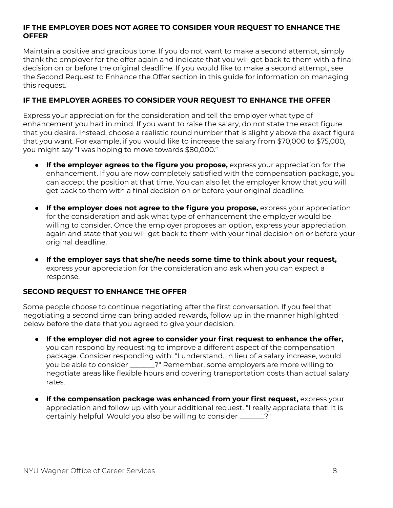#### **IF THE EMPLOYER DOES NOT AGREE TO CONSIDER YOUR REQUEST TO ENHANCE THE OFFER**

Maintain a positive and gracious tone. If you do not want to make a second attempt, simply thank the employer for the offer again and indicate that you will get back to them with a final decision on or before the original deadline. If you would like to make a second attempt, see the Second Request to Enhance the Offer section in this guide for information on managing this request.

#### **IF THE EMPLOYER AGREES TO CONSIDER YOUR REQUEST TO ENHANCE THE OFFER**

Express your appreciation for the consideration and tell the employer what type of enhancement you had in mind. If you want to raise the salary, do not state the exact figure that you desire. Instead, choose a realistic round number that is slightly above the exact figure that you want. For example, if you would like to increase the salary from \$70,000 to \$75,000, you might say "I was hoping to move towards \$80,000."

- **If the employer agrees to the figure you propose,** express your appreciation for the enhancement. If you are now completely satisfied with the compensation package, you can accept the position at that time. You can also let the employer know that you will get back to them with a final decision on or before your original deadline.
- **If the employer does not agree to the figure you propose,** express your appreciation for the consideration and ask what type of enhancement the employer would be willing to consider. Once the employer proposes an option, express your appreciation again and state that you will get back to them with your final decision on or before your original deadline.
- **If the employer says that she/he needs some time to think about your request,** express your appreciation for the consideration and ask when you can expect a response.

#### **SECOND REQUEST TO ENHANCE THE OFFER**

Some people choose to continue negotiating after the first conversation. If you feel that negotiating a second time can bring added rewards, follow up in the manner highlighted below before the date that you agreed to give your decision.

- **If the employer did not agree to consider your first request to enhance the offer,** you can respond by requesting to improve a different aspect of the compensation package. Consider responding with: "I understand. In lieu of a salary increase, would you be able to consider \_\_\_\_\_\_\_?" Remember, some employers are more willing to negotiate areas like flexible hours and covering transportation costs than actual salary rates.
- **If the compensation package was enhanced from your first request,** express your appreciation and follow up with your additional request. "I really appreciate that! It is certainly helpful. Would you also be willing to consider \_\_\_\_\_\_\_?"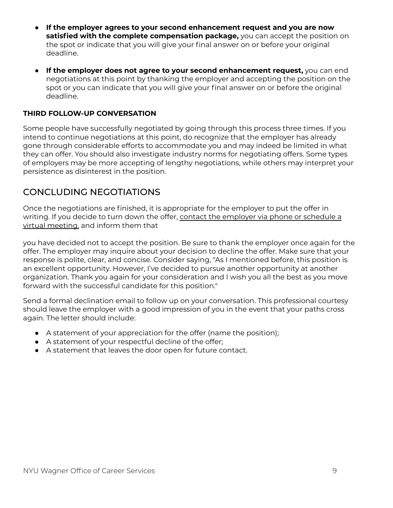- **If the employer agrees to your second enhancement request and you are now satisfied with the complete compensation package,** you can accept the position on the spot or indicate that you will give your final answer on or before your original deadline.
- **If the employer does not agree to your second enhancement request,** you can end negotiations at this point by thanking the employer and accepting the position on the spot or you can indicate that you will give your final answer on or before the original deadline.

#### **THIRD FOLLOW-UP CONVERSATION**

Some people have successfully negotiated by going through this process three times. If you intend to continue negotiations at this point, do recognize that the employer has already gone through considerable efforts to accommodate you and may indeed be limited in what they can offer. You should also investigate industry norms for negotiating offers. Some types of employers may be more accepting of lengthy negotiations, while others may interpret your persistence as disinterest in the position.

### CONCLUDING NEGOTIATIONS

Once the negotiations are finished, it is appropriate for the employer to put the offer in writing. If you decide to turn down the offer, contact the employer via phone or schedule a virtual meeting, and inform them that

you have decided not to accept the position. Be sure to thank the employer once again for the offer. The employer may inquire about your decision to decline the offer. Make sure that your response is polite, clear, and concise. Consider saying, "As I mentioned before, this position is an excellent opportunity. However, I've decided to pursue another opportunity at another organization. Thank you again for your consideration and I wish you all the best as you move forward with the successful candidate for this position."

Send a formal declination email to follow up on your conversation. This professional courtesy should leave the employer with a good impression of you in the event that your paths cross again. The letter should include:

- A statement of your appreciation for the offer (name the position);
- A statement of your respectful decline of the offer;
- A statement that leaves the door open for future contact.